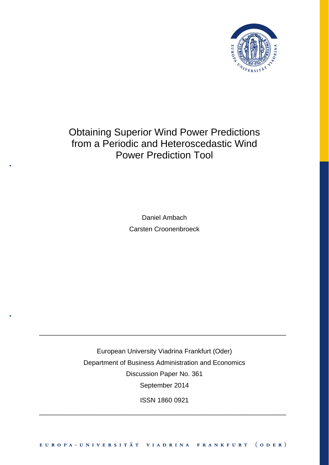

# Obtaining Superior Wind Power Predictions from a Periodic and Heteroscedastic Wind Power Prediction Tool

Daniel Ambach Carsten Croonenbroeck

European University Viadrina Frankfurt (Oder) Department of Business Administration and Economics Discussion Paper No. 361 September 2014

\_\_\_\_\_\_\_\_\_\_\_\_\_\_\_\_\_\_\_\_\_\_\_\_\_\_\_\_\_\_\_\_\_\_\_\_\_\_\_\_\_\_\_\_\_\_\_\_\_\_\_\_\_\_\_\_\_\_\_\_\_\_\_\_\_\_\_

ISSN 1860 0921

\_\_\_\_\_\_\_\_\_\_\_\_\_\_\_\_\_\_\_\_\_\_\_\_\_\_\_\_\_\_\_\_\_\_\_\_\_\_\_\_\_\_\_\_\_\_\_\_\_\_\_\_\_\_\_\_\_\_\_\_\_\_\_\_\_\_\_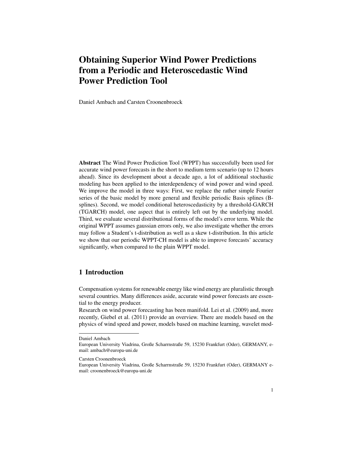## Obtaining Superior Wind Power Predictions from a Periodic and Heteroscedastic Wind Power Prediction Tool

Daniel Ambach and Carsten Croonenbroeck

Abstract The Wind Power Prediction Tool (WPPT) has successfully been used for accurate wind power forecasts in the short to medium term scenario (up to 12 hours ahead). Since its development about a decade ago, a lot of additional stochastic modeling has been applied to the interdependency of wind power and wind speed. We improve the model in three ways: First, we replace the rather simple Fourier series of the basic model by more general and flexible periodic Basis splines (Bsplines). Second, we model conditional heteroscedasticity by a threshold-GARCH (TGARCH) model, one aspect that is entirely left out by the underlying model. Third, we evaluate several distributional forms of the model's error term. While the original WPPT assumes gaussian errors only, we also investigate whether the errors may follow a Student's t-distribution as well as a skew t-distribution. In this article we show that our periodic WPPT-CH model is able to improve forecasts' accuracy significantly, when compared to the plain WPPT model.

### 1 Introduction

Compensation systems for renewable energy like wind energy are pluralistic through several countries. Many differences aside, accurate wind power forecasts are essential to the energy producer.

Research on wind power forecasting has been manifold. Lei et al. (2009) and, more recently, Giebel et al. (2011) provide an overview. There are models based on the physics of wind speed and power, models based on machine learning, wavelet mod-

Daniel Ambach

European University Viadrina, Große Scharrnstraße 59, 15230 Frankfurt (Oder), GERMANY, email: ambach@europa-uni.de

Carsten Croonenbroeck

European University Viadrina, Große Scharrnstraße 59, 15230 Frankfurt (Oder), GERMANY email: croonenbroeck@europa-uni.de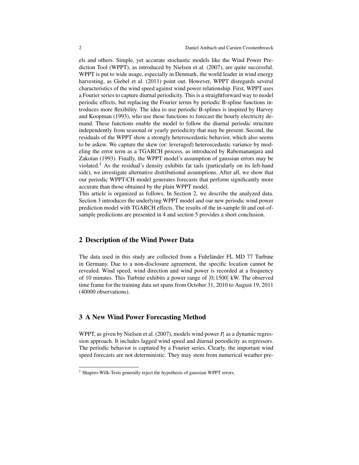els and others. Simple, yet accurate stochastic models like the Wind Power Prediction Tool (WPPT), as introduced by Nielsen et al. (2007), are quite successful. WPPT is put to wide usage, especially in Denmark, the world leader in wind energy harvesting, as Giebel et al. (2011) point out. However, WPPT disregards several characteristics of the wind speed against wind power relationship. First, WPPT uses a Fourier series to capture diurnal periodicity. This is a straightforward way to model periodic effects, but replacing the Fourier terms by periodic B-spline functions introduces more flexibility. The idea to use periodic B-splines is inspired by Harvey and Koopman (1993), who use these functions to forecast the hourly electricity demand. These functions enable the model to follow the diurnal periodic structure independently from seasonal or yearly periodicity that may be present. Second, the residuals of the WPPT show a strongly heteroscedastic behavior, which also seems to be askew. We capture the skew (or: leveraged) heteroscedastic variance by modeling the error term as a TGARCH process, as introduced by Rabemananjara and Zakoïan (1993). Finally, the WPPT model's assumption of gaussian errors may be violated.<sup>1</sup> As the residual's density exhibits fat tails (particularly on its left-hand side), we investigate alternative distributional assumptions. After all, we show that our periodic WPPT-CH model generates forecasts that perform significantly more accurate than those obtained by the plain WPPT model.

This article is organized as follows. In Section 2, we describe the analyzed data. Section 3 introduces the underlying WPPT model and our new periodic wind power prediction model with TGARCH effects. The results of the in-sample fit and out-ofsample predictions are presented in 4 and section 5 provides a short conclusion.

#### 2 Description of the Wind Power Data

The data used in this study are collected from a Fuhrländer FL MD 77 Turbine in Germany. Due to a non-disclosure agreement, the specific location cannot be revealed. Wind speed, wind direction and wind power is recorded at a frequency of 10 minutes. This Turbine exhibits a power range of [0; 1500] kW. The observed time frame for the training data set spans from October 31, 2010 to August 19, 2011 (40000 observations).

#### 3 A New Wind Power Forecasting Method

WPPT, as given by Nielsen et al. (2007), models wind power *P<sup>t</sup>* as a dynamic regression approach. It includes lagged wind speed and diurnal periodicity as regressors. The periodic behavior is captured by a Fourier series. Clearly, the important wind speed forecasts are not deterministic. They may stem from numerical weather pre-

<sup>&</sup>lt;sup>1</sup> Shapiro-Wilk-Tests generally reject the hypothesis of gaussian WPPT errors.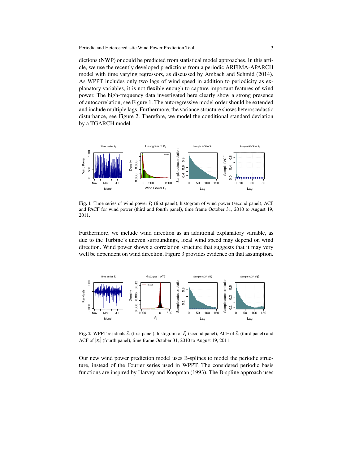dictions (NWP) or could be predicted from statistical model approaches. In this article, we use the recently developed predictions from a periodic ARFIMA-APARCH model with time varying regressors, as discussed by Ambach and Schmid (2014). As WPPT includes only two lags of wind speed in addition to periodicity as explanatory variables, it is not flexible enough to capture important features of wind power. The high-frequency data investigated here clearly show a strong presence of autocorrelation, see Figure 1. The autoregressive model order should be extended and include multiple lags. Furthermore, the variance structure shows heteroscedastic disturbance, see Figure 2. Therefore, we model the conditional standard deviation by a TGARCH model.



Fig. 1 Time series of wind power *P<sup>t</sup>* (first panel), histogram of wind power (second panel), ACF and PACF for wind power (third and fourth panel), time frame October 31, 2010 to August 19, 2011.

Furthermore, we include wind direction as an additional explanatory variable, as due to the Turbine's uneven surroundings, local wind speed may depend on wind direction. Wind power shows a correlation structure that suggests that it may very well be dependent on wind direction. Figure 3 provides evidence on that assumption.



**Fig. 2** WPPT residuals  $\hat{\epsilon}$  (first panel), histogram of  $\hat{\epsilon}$  (second panel), ACF of  $\hat{\epsilon}$  (third panel) and ACF of  $|\varepsilon_t|$  (fourth panel), time frame October 31, 2010 to August 19, 2011.

Our new wind power prediction model uses B-splines to model the periodic structure, instead of the Fourier series used in WPPT. The considered periodic basis functions are inspired by Harvey and Koopman (1993). The B-spline approach uses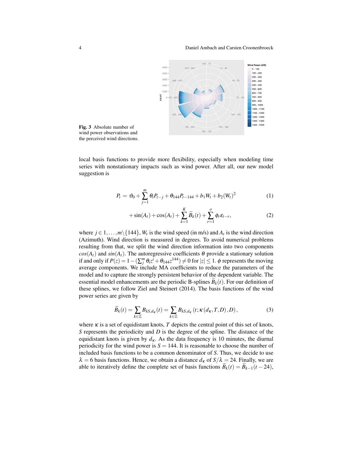4 Daniel Ambach and Carsten Croonenbroeck



Fig. 3 Absolute number of wind power observations and the perceived wind directions.

local basis functions to provide more flexibility, especially when modeling time series with nonstationary impacts such as wind power. After all, our new model suggestion is

$$
P_t = \vartheta_0 + \sum_{j=1}^m \theta_i P_{t-j} + \theta_{144} P_{t-144} + b_1 W_t + b_2 (W_t)^2 \tag{1}
$$

$$
+\sin(A_t) + \cos(A_t) + \sum_{k=1}^{K} \widetilde{B}_k(t) + \sum_{r=1}^{o} \phi_r \varepsilon_{t-r},
$$
\n(2)

where  $j \in 1, ..., m \setminus \{144\}$ ,  $W_t$  is the wind speed (in m/s) and  $A_t$  is the wind direction (Azimuth). Wind direction is measured in degrees. To avoid numerical problems resulting from that, we split the wind direction information into two components  $cos(A_t)$  and  $sin(A_t)$ . The autoregressive coefficients  $\theta$  provide a stationary solution if and only if  $P(z) = 1 - (\sum_{j}^{m} \theta_{i} z^{i} + \theta_{144} z^{144}) \neq 0$  for  $|z| \leq 1$ .  $\phi$  represents the moving average components. We include MA coefficients to reduce the parameters of the model and to capture the strongly persistent behavior of the dependent variable. The essential model enhancements are the periodic B-splines  $B_k(t)$ . For our definition of these splines, we follow Ziel and Steinert (2014). The basis functions of the wind power series are given by

$$
\widetilde{B}_k(t) = \sum_{k \in \mathbb{Z}} B_{k, d_K}(t) = \sum_{k \in \mathbb{Z}} B_{k, d_K}(t; \kappa(d_K, T, D), D), \tag{3}
$$

where  $\kappa$  is a set of equidistant knots, *T* depicts the central point of this set of knots, *S* represents the periodicity and *D* is the degree of the spline. The distance of the equidistant knots is given by  $d<sub>K</sub>$ . As the data frequency is 10 minutes, the diurnal periodicity for the wind power is  $S = 144$ . It is reasonable to choose the number of included basis functions to be a common denominator of *S*. Thus, we decide to use  $\lambda = 6$  basis functions. Hence, we obtain a distance  $d_K$  of  $S/\lambda = 24$ . Finally, we are able to iteratively define the complete set of basis functions  $B_k(t) = B_{k-1}(t - 24)$ ,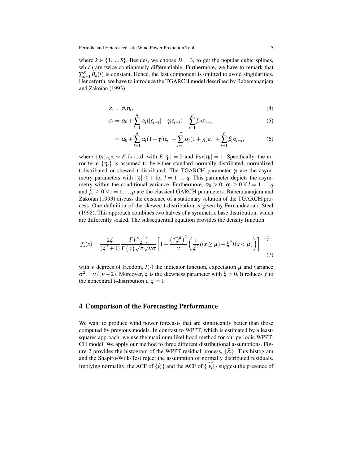where  $k \in \{1,...,5\}$ . Besides, we choose  $D = 3$ , to get the popular cubic splines, which are twice continuously differentiable. Furthermore, we have to remark that  $\sum_{k=1}^{K} \widetilde{B}_k(t)$  is constant. Hence, the last component is omitted to avoid singularities. Henceforth, we have to introduce the TGARCH model described by Rabemananjara and Zakoïan (1993)

$$
\varepsilon_t = \sigma_t \eta_t, \tag{4}
$$

$$
\sigma_t = \alpha_0 + \sum_{l=1}^q \alpha_l (|\varepsilon_{t-l}| - \gamma_l \varepsilon_{t-l}) + \sum_{i=1}^p \beta_i \sigma_{t-i}, \qquad (5)
$$

$$
= \alpha_0 + \sum_{l=1}^q \alpha_l (1-\gamma_l) \varepsilon_l^+ - \sum_{l=1}^q \alpha_l (1+\gamma_l) \varepsilon_l^- + \sum_{i=1}^p \beta_i \sigma_{t-i}, \qquad (6)
$$

where  $\{\eta_t\}_{t\in\mathbb{Z}} \sim F$  is i.i.d. with  $E[\eta_t] = 0$  and  $Var[\eta_t] = 1$ . Specifically, the error term  $\{\eta_t\}$  is assumed to be either standard normally distributed, normalized t-distributed or skewed t-distributed. The TGARCH parameter γ*<sup>l</sup>* are the asymmetry parameters with  $|\gamma| \leq 1$  for  $l = 1, ..., q$ . This parameter depicts the asymmetry within the conditional variance. Furthermore,  $\alpha_0 > 0$ ,  $\alpha_l \geq 0$   $\forall$  *l* = 1,...,*q* and  $\beta_i \geq 0 \ \forall \ i = 1, ..., p$  are the classical GARCH parameters. Rabemananjara and Zakoïan (1993) discuss the existence of a stationary solution of the TGARCH process. One definition of the skewed t-distribution is given by Fernandez and Steel (1998). This approach combines two halves of a symmetric base distribution, which are differently scaled. The subsequential equation provides the density function

$$
f_x(x) = \frac{2\xi}{(\xi^2 + 1)} \frac{\Gamma(\frac{\nu+1}{2})}{\Gamma(\frac{\nu}{2})\sqrt{\pi}\sqrt{\nu}\sigma} \left[1 + \frac{\left(\frac{x-\mu}{\sigma}\right)^2}{\nu}\left(\frac{1}{\xi^2}I(x \ge \mu) + \xi^2 I(x < \mu)\right)\right]^{-\frac{\nu+1}{2}}\tag{7}
$$

with *v* degrees of freedom,  $I(\cdot)$  the indicator function, expectation  $\mu$  and variance  $\sigma^2 = v/(v-2)$ . Moreover,  $\xi$  is the skewness parameter with  $\xi > 0$ . It reduces f to the noncentral t-distribution if  $\xi = 1$ .

#### 4 Comparison of the Forecasting Performance

We want to produce wind power forecasts that are significantly better than those computed by previous models. In contrast to WPPT, which is estimated by a leastsquares approach, we use the maximum likelihood method for our periodic WPPT-CH model. We apply our method to three different distributional assumptions. Figure 2 provides the histogram of the WPPT residual process,  $\{\hat{\epsilon}_t\}$ . This histogram and the Shapiro-Wilk-Test reject the assumption of normally distributed residuals. Implying normality, the ACF of  $\{\hat{\epsilon}_t\}$  and the ACF of  $\{|\epsilon_t|\}$  suggest the presence of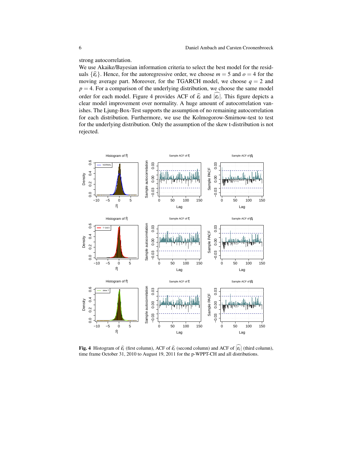strong autocorrelation.

We use Akaike/Bayesian information criteria to select the best model for the residuals  $\{\hat{\epsilon}_t\}$ . Hence, for the autoregressive order, we choose  $m = 5$  and  $o = 4$  for the moving average part. Moreover, for the TGARCH model, we choose  $q = 2$  and  $p = 4$ . For a comparison of the underlying distribution, we choose the same model order for each model. Figure 4 provides ACF of  $\hat{\epsilon}_t$  and  $|\epsilon_t|$ . This figure depicts a<br>clear model improvement over permetity. A hyge emerget of autocorrelation van clear model improvement over normality. A huge amount of autocorrelation vanishes. The Ljung-Box-Test supports the assumption of no remaining autocorrelation for each distribution. Furthermore, we use the Kolmogorow-Smirnow-test to test for the underlying distribution. Only the assumption of the skew t-distribution is not rejected.



**Fig. 4** Histogram of  $\hat{\epsilon}_t$  (first column), ACF of  $\hat{\epsilon}_t$  (second column) and ACF of  $|\epsilon_t|$  (third column), time frame Ostober 31, 2010 to August 10, 2011 for the p WDDT CH and all distributions. time frame October 31, 2010 to August 19, 2011 for the p-WPPT-CH and all distributions.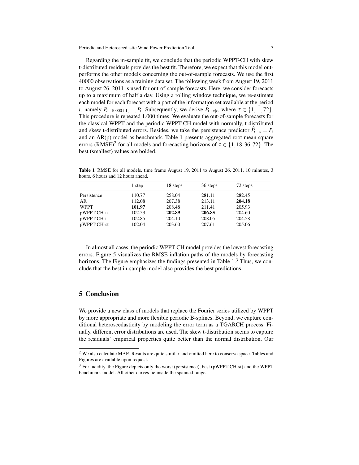Periodic and Heteroscedastic Wind Power Prediction Tool 7

Regarding the in-sample fit, we conclude that the periodic WPPT-CH with skew t-distributed residuals provides the best fit. Therefore, we expect that this model outperforms the other models concerning the out-of-sample forecasts. We use the first 40000 observations as a training data set. The following week from August 19, 2011 to August 26, 2011 is used for out-of-sample forecasts. Here, we consider forecasts up to a maximum of half a day. Using a rolling window technique, we re-estimate each model for each forecast with a part of the information set available at the period *t*, namely  $P_{t-10000+1},...,P_t$ . Subsequently, we derive  $P_{t+\tau|t}$ , where  $\tau \in \{1,...,72\}$ . This procedure is repeated 1.000 times. We evaluate the out-of-sample forecasts for the classical WPPT and the periodic WPPT-CH model with normally, t-distributed and skew t-distributed errors. Besides, we take the persistence predictor  $P_{t+\tau} = P_t$ and an AR(p) model as benchmark. Table 1 presents aggregated root mean square errors (RMSE)<sup>2</sup> for all models and forecasting horizons of  $\tau \in \{1, 18, 36, 72\}$ . The best (smallest) values are bolded.

|             | 1 step | 18 steps | 36 steps | 72 steps |
|-------------|--------|----------|----------|----------|
| Persistence | 110.77 | 258.04   | 281.11   | 282.45   |
| AR          | 112.08 | 207.38   | 213.11   | 204.18   |
| <b>WPPT</b> | 101.97 | 208.48   | 211.41   | 205.93   |
| pWPPT-CH-n  | 102.53 | 202.89   | 206.85   | 204.60   |
| pWPPT-CH-t  | 102.85 | 204.10   | 208.05   | 204.58   |
| pWPPT-CH-st | 102.04 | 203.60   | 207.61   | 205.06   |

Table 1 RMSE for all models, time frame August 19, 2011 to August 26, 2011, 10 minutes, 3 hours, 6 hours and 12 hours ahead.

In almost all cases, the periodic WPPT-CH model provides the lowest forecasting errors. Figure 5 visualizes the RMSE inflation paths of the models by forecasting horizons. The Figure emphasizes the findings presented in Table  $1<sup>3</sup>$  Thus, we conclude that the best in-sample model also provides the best predictions.

#### 5 Conclusion

We provide a new class of models that replace the Fourier series utilized by WPPT by more appropriate and more flexible periodic B-splines. Beyond, we capture conditional heteroscedasticity by modeling the error term as a TGARCH process. Finally, different error distributions are used. The skew t-distribution seems to capture the residuals' empirical properties quite better than the normal distribution. Our

<sup>&</sup>lt;sup>2</sup> We also calculate MAE. Results are quite similar and omitted here to conserve space. Tables and Figures are available upon request.

<sup>&</sup>lt;sup>3</sup> For lucidity, the Figure depicts only the worst (persistence), best (pWPPT-CH-st) and the WPPT benchmark model. All other curves lie inside the spanned range.